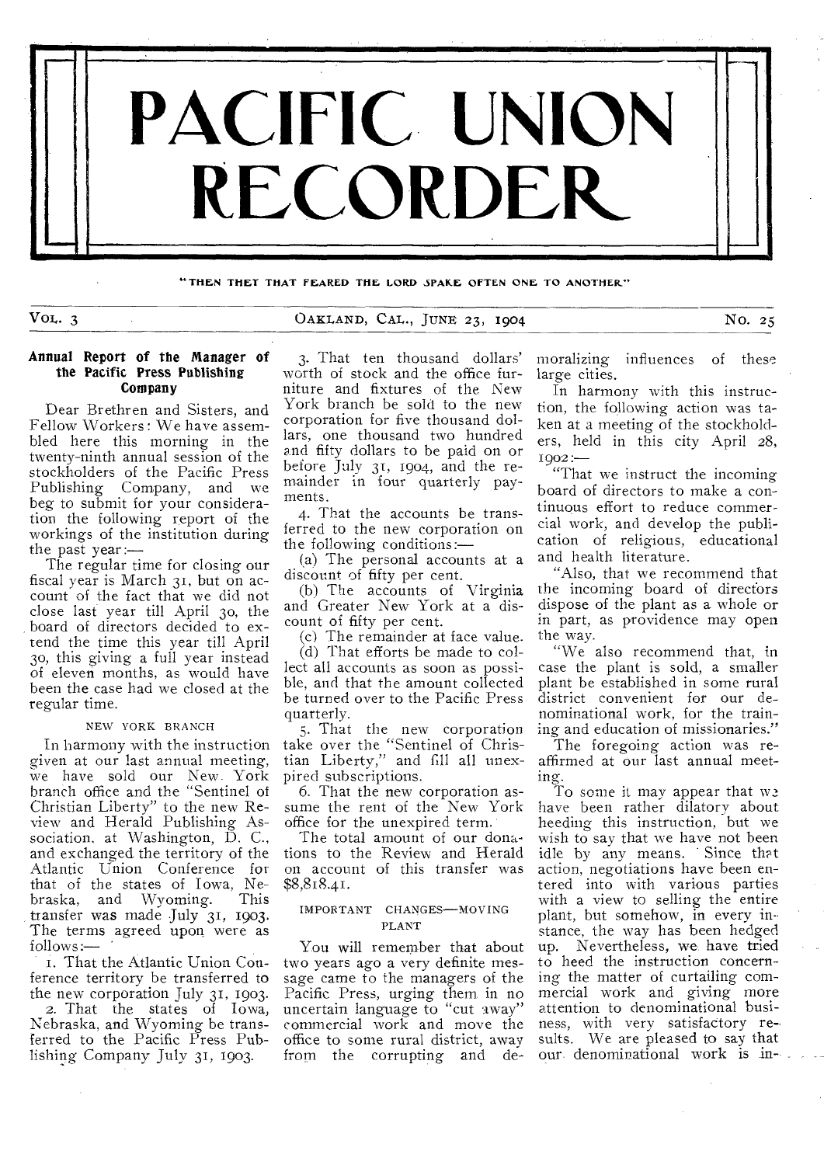

**"THEN THEY THAT FEARED THE LORD SPAKE OFTEN ONE TO ANOTHER"** 

# VOL. 3 CARLAND, CAL., JUNE 23, 1904 NO. 25

## **Annual Report of the Manager of the Pacific Press Publishing Company**

Dear Brethren and Sisters, and Fellow Workers : We have assembled here this morning in the twenty-ninth annual session of the stockholders of the Pacific Press Publishing Company, and we beg to submit for your consideration the following report of the workings of the institution during the past year:—

The regular time for closing our fiscal year is March 31, but on account of the fact that we did not close last year till April 3o, the board of directors decided to extend the time this year till April 3o, this giving a full year instead of eleven months, as would have been the case had we closed at the regular time.

## NEW YORK BRANCH

In harmony with the instruction given at our last annual meeting, we have sold our New. York branch office and the "Sentinel of Christian Liberty" to the new Review and Herald Publishing Association, at Washington, D. C., and exchanged the territory of the Atlantic Union Conference for that of the states of Iowa, Nebraska, and Wyoming. This transfer was made July 31, 1903. The terms agreed upon were as  $follows:$   $-$ 

1. That the Atlantic Union Conference territory be transferred to the new corporation July 31, 1903. 2. That the states of Iowa, Nebraska, and Wyoming be transferred to the Pacific Press Publishing Company July 31, 1903.

3. That ten thousand dollars' worth of stock and the office furniture and fixtures of the New York branch be sold to the new corporation for five thousand dollars, one thousand two hundred and fifty dollars to be paid on or before July 31, 1904, and the remainder in four quarterly payments.

4. That the accounts be transferred to the new corporation on the following conditions:—

(a) The personal accounts at a discount of fifty per cent.

(b) The accounts of Virginia and Greater New York at a discount of fifty per cent.

(c) The remainder at face value.

(d) That efforts be made to collect all accounts as soon as possible, and that the amount collected be turned over to the Pacific Press quarterly.

5. That the new corporation take over the "Sentinel of Christian Liberty," and fill all unexpired subscriptions.

6. That the new corporation assume the rent of the New York office for the unexpired term.

The total amount of our donations to the Review and Herald on account of this transfer was \$8,818.41.

## IMPORTANT CHANGES—MOVING PLANT

You will remember that about two years ago a very definite message came to the managers of the Pacific Press, urging them in no uncertain language to "cut away" commercial work and move the office to some rural district, away from the corrupting and demoralizing influences of these large cities.

In harmony with this instruction, the following action was taken at a meeting of the stockholders, held in this city April 28,  $1002:$ 

"That we instruct the incoming board of directors to make a continuous effort to reduce commercial work, and develop the publication of religious, educational and health literature.

"Also, that we recommend that the incoming board of directors dispose of the plant as a whole or in part, as providence may open the way.

"We also recommend that, in case the plant is sold, a smaller plant be established in some rural district convenient for our denominational work, for the training and education of missionaries."

The foregoing action was reaffirmed at our last annual meeting.

To some it may appear that  $w_2$ have been rather dilatory about heeding this instruction, but we wish to say that we have not been idle by any means. Since that action, negotiations have been entered into with various parties with a view to selling the entire plant, but somehow, in every instance, the way has been hedged up. Nevertheless, we have tried to heed the instruction concerning the matter of curtailing commercial work and giving more attention to denominational business, with very satisfactory results. We are pleased to say that our denominational work is in--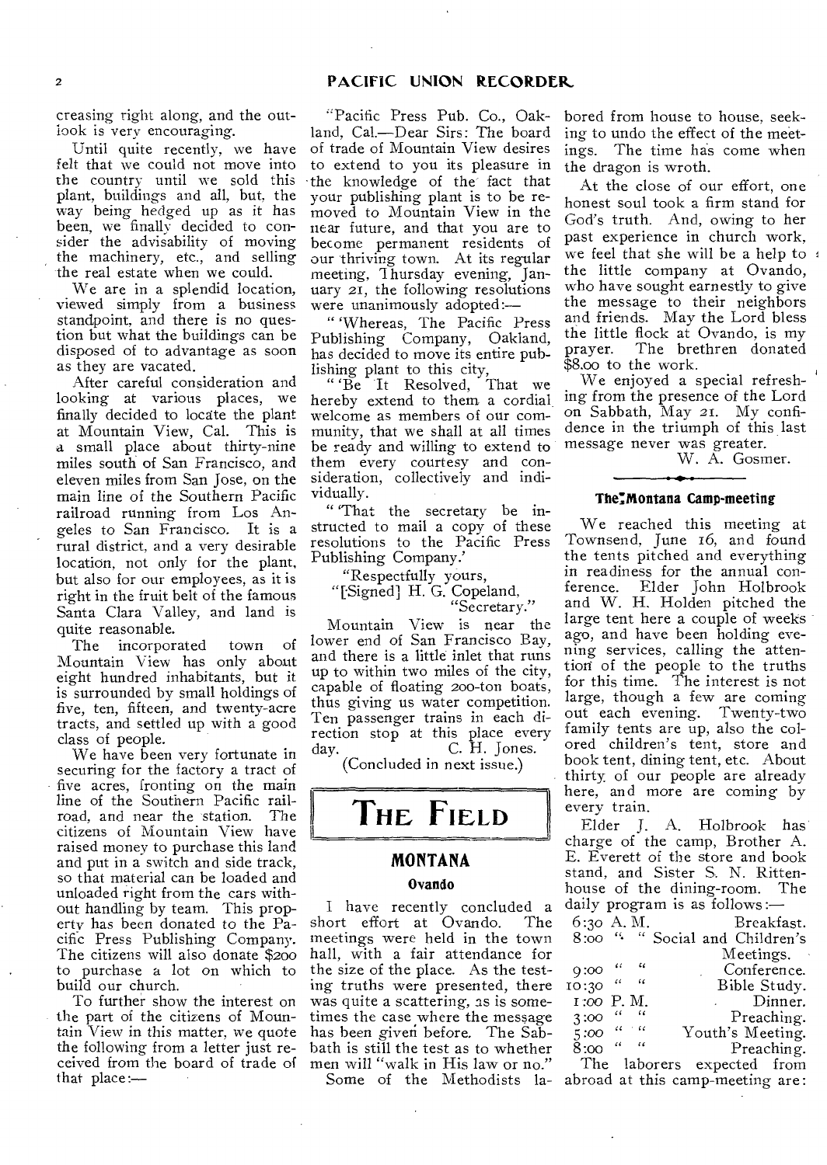creasing right along, and the outlook is very encouraging.

Until quite recently, we have felt that we could not move into the country until we sold this plant, buildings and all, but, the way being hedged up as it has been, we finally decided to consider the advisability of moving the machinery, etc., and selling the real estate when we could.

We are in a splendid location, viewed simply from a business standpoint, and there is no question but what the buildings can be disposed of to advantage as soon as they are vacated.

After careful consideration and looking at various places, we finally decided to locate the plant at Mountain View, Cal. This is a small place about thirty-nine miles south of San Francisco, and eleven miles from San Jose, on the main line of the Southern Pacific railroad running from Los Angeles to San Francisco. It is a rural district, and a very desirable location, not only for the plant, but also for our employees, as it is right in the fruit belt of the famous Santa Clara Valley, and land is quite reasonable.

The incorporated town of Mountain View has only about eight hundred inhabitants, but it is surrounded by small holdings of five, ten, fifteen, and twenty-acre tracts, and settled up with a good class of people.

We have been very fortunate in securing for the factory a tract of five acres, fronting on the main line of the Southern Pacific rail-<br>road, and near the station. The road, and near the station. citizens of Mountain View have raised money to purchase this land and put in a switch and side track, so that material can be loaded and unloaded right from the cars without handling by team. This property has been donated to the Pacific Press Publishing Company. The citizens will also donate \$200 to purchase a lot on which to build our church.

To further show the interest on the part of the citizens of Mountain View in this matter, we quote the following from a letter just received from the board of trade of that place:—

"Pacific Press Pub. Co., Oakland, Cal.—Dear Sirs: The board of trade of Mountain View desires to extend to you its pleasure in -the knowledge of the fact that your publishing plant is to be removed to Mountain View in the near future, and that you are to become permanent residents of our thriving town. At its regular meeting, Thursday evening, January 21, the following resolutions were unanimously adopted:—

" 'Whereas, The Pacific Press Publishing Company, Oakland, has decided to move its entire publishing plant to this city,

"Be It Resolved, That we hereby extend to them a cordial welcome as members of our community, that we shall at all times be ready and willing to extend to them every courtesy and consideration, collectively and individually.

" 'That the secretary be instructed to mail a copy of these resolutions to the Pacific Press Publishing Company.'

"Respectfully yours,

"[Signed] H. G. Copeland, "Secretary."

Mountain View is near the lower end of San Francisco Bay, and there is a little inlet that runs up to within two miles of the city, capable of floating 20o-ton boats, thus giving us water competition. Ten passenger trains in each direction stop at this place every day. C. H. Jones.

(Concluded in next issue.)

# **THE FIELD**

# **MONTANA**

## **Ovando**

I have recently concluded a<br>ort effort at Ovando. The short effort at Ovando. meetings were held in the town hall, with a fair attendance for the size of the place. As the testing truths were presented, there was quite a scattering, as is sometimes the case where the message has been given before. The Sabbath is still the test as to whether men will "walk in His law or no." Some of the Methodists labored from house to house, seeking to undo the effect of the meetings. The time has come when the dragon is wroth.

At the close of our effort, one honest soul took a firm stand for God's truth. And, owing to her past experience in church work, we feel that she will be a help to the little company at Ovando, who have sought earnestly to give the message to their neighbors and friends. May the Lord bless the little flock at Ovando, is my prayer. The brethren donated \$8.00 to the work.

We enjoyed a special refreshing from the presence of the Lord on Sabbath, May 21. My confidence in the triumph of this last message never was greater.

W. A. Gosmer.

## **The:Montana Camp-meeting**

We reached this meeting at Townsend, June 16, and found the tents pitched and everything in readiness for the annual con-<br>ference. Elder John Holbrook ference. Elder John Holbrook and W. H. Holden pitched the large tent here a couple of weeks ago, and have been holding evening services, calling the attention of the people to the truths for this time. The interest is not large, though a few are coming out each evening. Twenty-two family tents are up, also the colored children's tent, store and book tent, dining tent, etc. About thirty, of our people are already here, and more are coming by every train.

Elder J. A. Holbrook has' charge of the camp, Brother A. E. Everett of the store and book stand, and Sister S. N. Rittenhouse of the dining-room. The daily program is as follows : $-$ 

| 6:30 A.M.    |       |                          |              |  | Breakfast.               |
|--------------|-------|--------------------------|--------------|--|--------------------------|
| 8:00         |       |                          |              |  | " "Social and Children's |
|              |       |                          |              |  | Meetings.                |
| $9:00$ "     |       | $\epsilon$               |              |  | Conference.              |
| 10:30 "      |       | $\overline{\mathcal{L}}$ |              |  | Bible Study.             |
| 1:00 P.M.    |       |                          |              |  | . Dinner.                |
| 3:00         | "     | $\epsilon$               |              |  | Preaching.               |
| $5:00^{-11}$ |       | $\sim$ 60                |              |  | Youth's Meeting.         |
| 8:00         | $-66$ | $\overline{\phantom{a}}$ |              |  | Preaching.               |
|              |       |                          | The laborers |  | expected from            |

abroad at this camp-meeting are :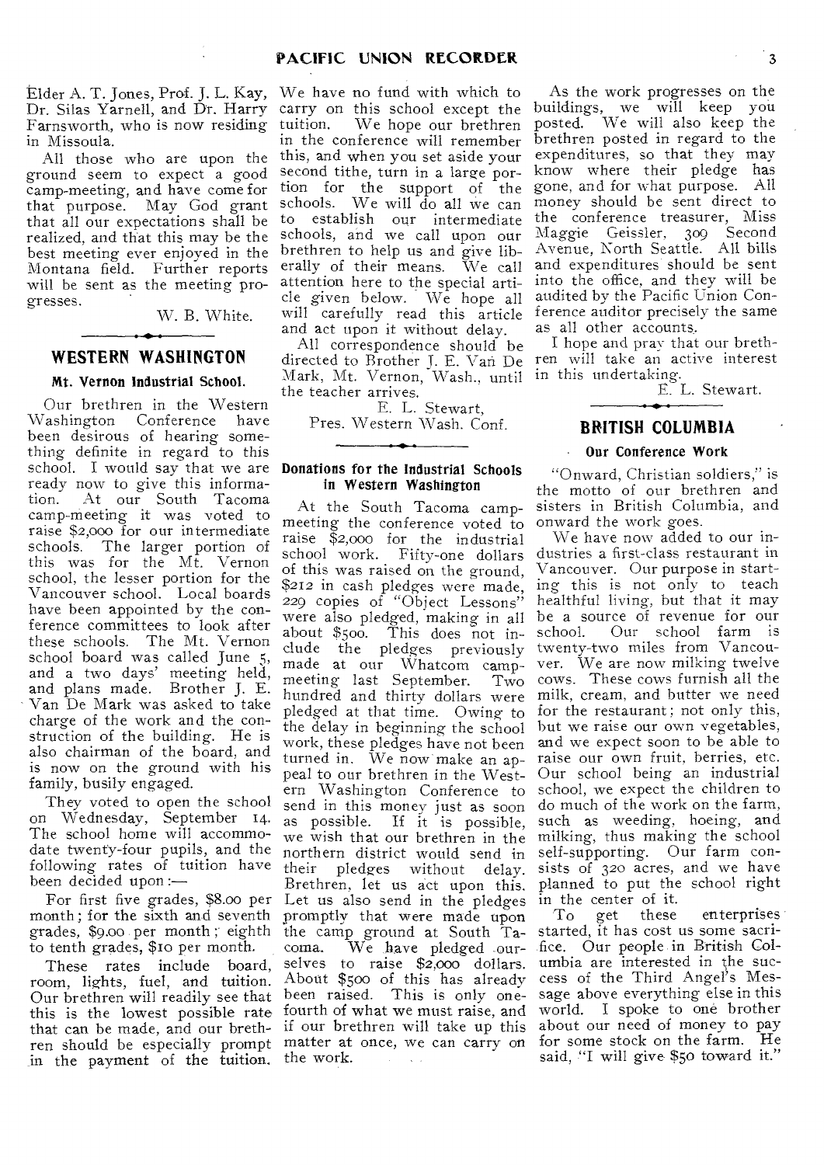Elder A. T. Jones, Prof. J. L. Kay, We have no fund with which to Dr. Silas Yarnell, and Dr. Harry Farnsworth, who is now residing in Missoula.

All those who are upon the ground seem to expect a good camp-meeting, and have come for that purpose. May God grant that all our expectations shall be to establish our intermediate realized, and that this may be the best meeting ever enjoyed in the Montana field. Further reports will be sent as the meeting progresses.

W. B. White.

## **WESTERN WASHINGTON**

## Mt. Vernon Industrial School.

Our brethren in the Western Washington Conference have been desirous of hearing something definite in regard to this school. I would say that we are ready now to give this informa-<br>tion. At our South Tacoma At our South Tacoma camp-meeting it was voted to raise \$2,00o for our intermediate schools. The larger portion of this was for the Mt. Vernon school, the lesser portion for the Vancouver school. Local boards have been appointed by the conference committees to look after these schools. The Mt. Vernon school board was called June 5, and a two days' meeting held, and plans made. Brother J. E. Van De Mark was asked to take charge of the work and the construction of the building. He is also chairman of the hoard, and is now on the ground with his family, busily engaged.

They voted to open the school on Wednesday, September 14. The school home will accommodate twenty-four pupils, and the following rates of tuition have been decided upon :—

For first five grades, \$8.0o per month; for the sixth and seventh grades, \$9.00 per month ; eighth to tenth grades, \$10 per month.

These rates include board, room, lights, fuel, and tuition. About \$5oo of this has already Our brethren will readily see that been raised. This is only onethis is the lowest possible rate fourth of what we must raise, and that can be made, and our breth-if our brethren will take up this ren should be especially prompt matter at once, we can carry on in the payment of the tuition. the work.

carry on this school except the<br>tuition. We hope our brethren We hope our brethren in the conference will remember this, and when you set aside your second tithe, turn in a large portion for the support of the schools. We will do all we can schools, and we call upon our brethren to help us and give liberally of their means. We call attention here to the special article given below. We hope all will carefully read this article and act upon it without delay.

All correspondence should be Mark, Mt. Vernon, Wash., until in this undertaking. the teacher arrives.

E. L. Stewart, Pres. Western Wash. Conf.

## Donations for the Industrial Schools in Western Washington

At the South Tacoma campmeeting the conference voted to raise \$2,000 for the industrial school work. Fifty-one dollars of this was raised on the ground, \$212 in cash pledges were made, 229 copies of "Object Lessons" were also pledged, making in all about \$50o. This does not include the pledges previously made at our Whatcom camp-<br>meeting last September. Two made at Suite Hardcom hundred and thirty dollars were pledged at that time. Owing to the delay in beginning the school work, these pledges have not been turned in. We now make an appeal to our brethren in the Western Washington Conference to send in this money just as soon as possible. If it is possible, we wish that our brethren in the northern district would send in their pledges without delay. Brethren, let us act upon this. Let us also send in the pledges promptly that were made upon the camp ground at South Ta-<br>coma. We have pledged ourcoma. We have pledged our-fice. Our people. in British Colselves to raise \$2,000 dollars. **Carl Carl** 

As the work progresses on the buildings, we will keep you posted. We will also keep the brethren posted in regard to the expenditures, so that they may know where their pledge has gone, and for what purpose. All money should be sent direct to the conference treasurer, Miss Maggie Geissler, 309 Second Avenue, North Seattle. All bills and expenditures should be sent into the office, and they will be audited by the Pacific Union Conference auditor precisely the same as all other accounts..

directed to Brother J. E. Van De ren will take an active interest I hope and pray that our breth-

E. L. Stewart.

## **BRITISH COLUMBIA**

## Our Conference Work

"Onward, Christian soldiers," is the motto of our brethren and sisters in British Columbia, and onward the work goes.

We have now added to our industries a first-class restaurant in Vancouver. Our purpose in starting this is not only to teach healthful living, but that it may be a source of revenue for our school. Our school farm is twenty-two miles from Vancouver. We are now milking twelve cows. These cows furnish all the milk, cream, and butter we need for the restaurant; not only this, but we raise our own vegetables, and we expect soon to be able to raise our own fruit, berries, etc. Our school being an industrial school, we expect the children to do much of the work on the farm, such as weeding, hoeing, and milking, thus making the school self-supporting. Our farm consists of 32o acres, and we have planned to put the school right in the center of it.

To get these enterprises started, it has cost us some sacriumbia are interested in the success of the Third Angel's Message above everything else in this world. I spoke to one brother about our need of money to pay for some stock on the farm. He said, "I will give \$50 toward it."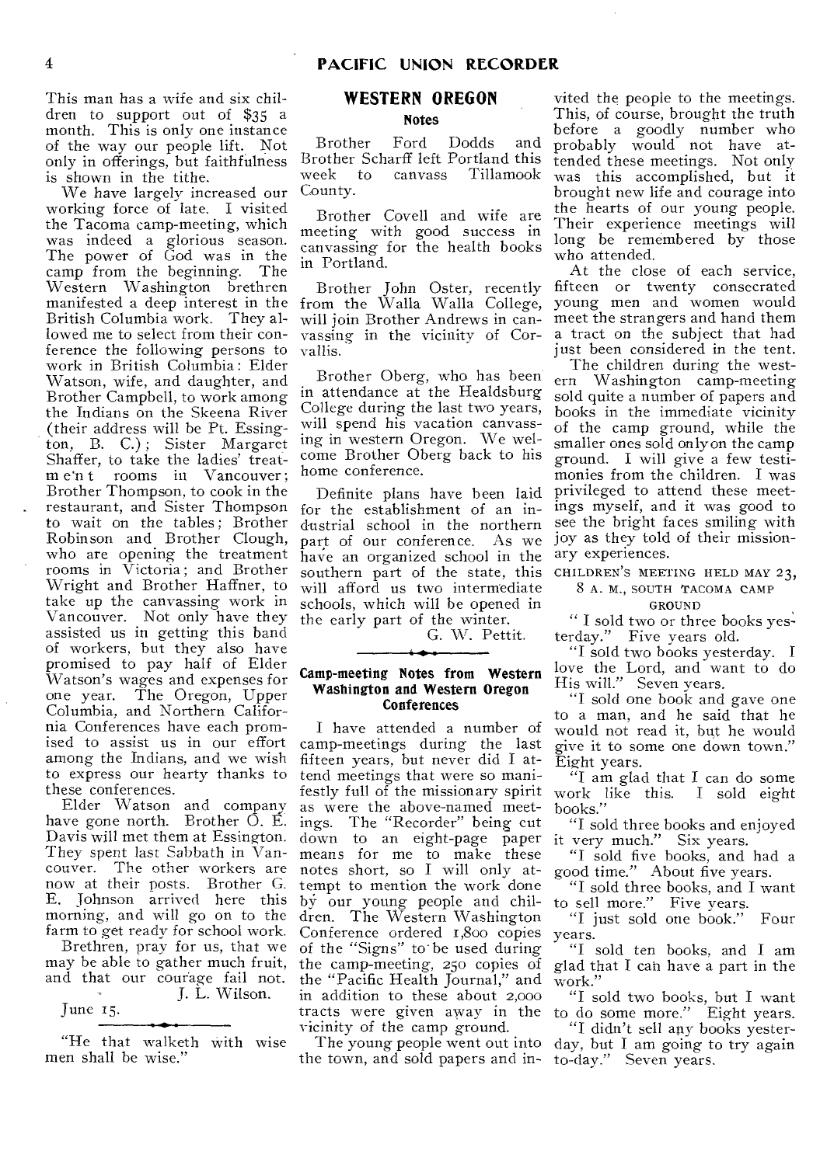This man has a wife and six children to support out of \$35 a month. This is only one instance of the way our people lift. Not only in offerings, but faithfulness is shown in the tithe.

We have largely increased our working force of late. I visited the Tacoma camp-meeting, which was indeed a glorious season. The power of God was in the camp from the beginning. The Western Washington brethren manifested a deep interest in the British Columbia work. They allowed me to select from their conference the following persons to work in British Columbia : Elder Watson, wife, and daughter, and Brother Campbell, to work among the Indians on the Skeena River (their address will be Pt. Essington, B. C.) ; Sister Margaret Shaffer, to take the ladies' treatm e'n t rooms in Vancouver; Brother Thompson, to cook in the restaurant, and Sister Thompson for the establishment of an into wait on the tables; Brother Robinson and Brother Clough, who are opening the treatment rooms in Victoria ; and Brother Wright and Brother Haffner, to take up the canvassing work in Vancouver. Not only have they assisted us in getting this band of workers, but they also have promised to pay half of Elder Watson's wages and expenses for one year. The Oregon, Upper Columbia, and Northern California Conferences have each promised to assist us in our effort among the Indians, and we wish to express our hearty thanks to these conferences.

Elder Watson and company have gone north. Brother  $\overline{O}$ . E. Davis will met them at Essington. They spent last Sabbath in Vancouver. The other workers are now at their posts. Brother G. E. Johnson arrived here this morning, and will go on to the farm to get ready for school work.

Brethren, pray for us, that we may be able to gather much fruit, and that our courage fail not. T. L. Wilson.

June I5.

"He that walketh with wise men shall be wise."

# *WESTERN* **OREGON**  Notes

Brother Ford Dodds and Brother Scharff left Portland this week to canvass Tillamook County.

Brother Covell and wife are meeting with good success in canvassing for the health books in Portland.

Brother John Oster, recently from the Walla Walla College, will join Brother Andrews in canvassing in the vicinity of Corvallis.

Brother Oberg, who has been in attendance at the Healdsburg College during the last two years, will spend his vacation canvassing in western Oregon. We welcome Brother Oberg back to his home conference.

Definite plans have been laid dustrial school in the northern part of our conference. As we have an organized school in the southern part of the state, this will afford us two intermediate schools, which will be opened in the early part of the winter.

G. W. Pettit.

## Camp-meeting Notes from Western Washington and Western Oregon **Conferences**

I have attended a number of camp-meetings during the last fifteen years, but never did I attend meetings that were so manifestly full of the missionary spirit as were the above-named meetings. The "Recorder" being cut down to an eight-page paper means for me to make these notes short, so I will only attempt to mention the work done by our young people and children. The Western Washington Conference ordered 1,800 copies of the "Signs" to' be used during the camp-meeting, 25o copies of the "Pacific Health Journal," and in addition to these about 2,000 tracts were given away in the vicinity of the camp ground.

the town, and sold papers and in-to-day." Seven years.

vited the people to the meetings. This, of course, brought the truth before a goodly number who probably would not have attended these meetings. Not only was this accomplished, but it brought new life and courage into the hearts of our young people. Their experience meetings will long be remembered by those who attended.

At the close of each service, fifteen or twenty consecrated young men and women would meet the strangers and hand them a tract on the subject that had just been considered in the tent.

The children during the western Washington camp-meeting sold quite a number of papers and books in the immediate vicinity of the camp ground, while the smaller ones sold only on the camp ground. I will give a few testimonies from the children. I was privileged to attend these meetings myself, and it was good to see the bright faces smiling with joy as they told of their missionary experiences.

CHILDREN'S MEETING HELD MAY 23,

8 A. M., SOUTH TACOMA CAMP

GROUND " I sold two or three books yesterday." Five years old.

"I sold two books yesterday. I love the Lord, and want to do His will." Seven years.

"I sold one book and gave one to a man, and he said that he would not read it, but he would give it to some one down town." Eight years.

"I am glad that I can do some work like this. I sold eight books."

"I sold three books and enjoyed it very much." Six years.

"I sold five hooks, and had a good time." About five years.

"I sold three books, and I want to sell more." Five years.

"I just sold one book." Four years.

"I sold ten books, and I am glad that I can have a part in the work."

"I sold two books, but I want to do some more." Eight years.

The young people went out into day, but I am going to try again "I didn't sell any books yester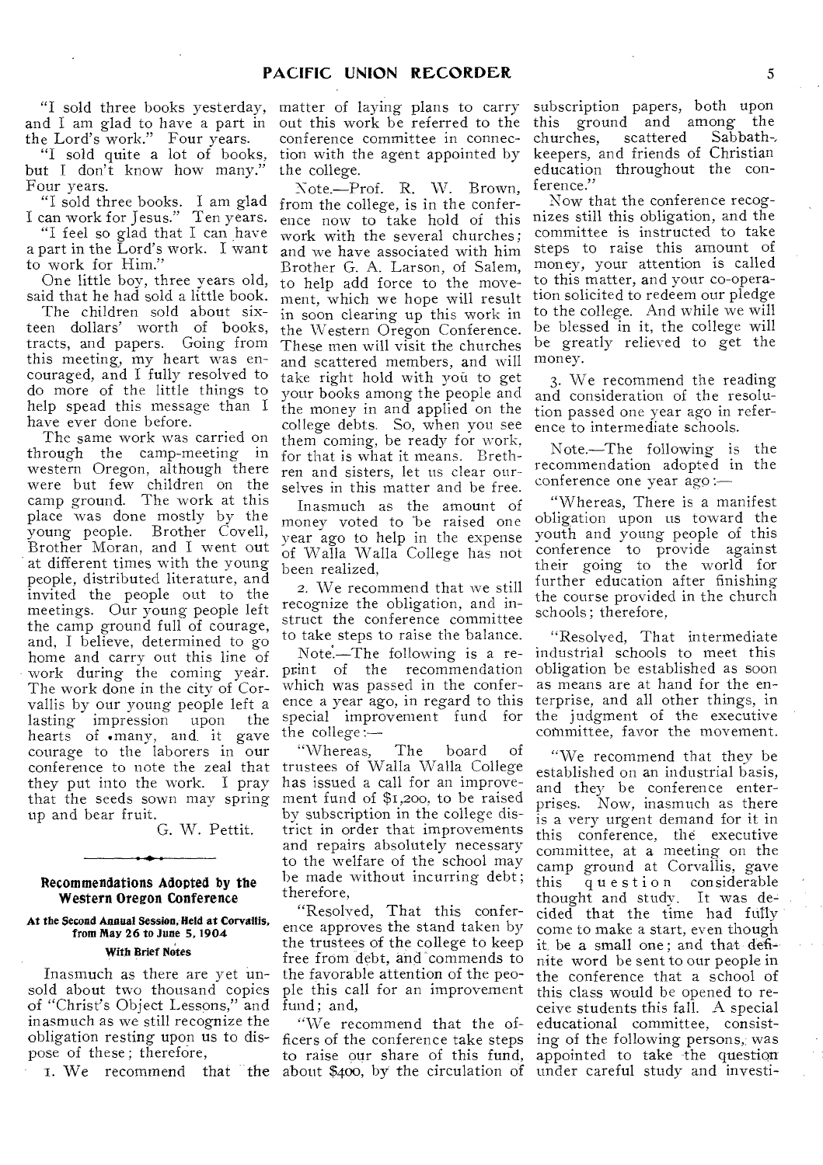and I am glad to have a part in the Lord's work." Four years.

"I sold quite a lot of books, but I don't know how many." Four years.

"I sold three books. I am glad I can work for Jesus." Ten years.

"I feel so glad that I can have a part in the Lord's work. I want to work for Him.'

One little boy, three years old, said that he had sold a little book.

The children sold about sixteen dollars' worth of books, tracts, and papers. Going from this meeting, my heart was encouraged, and I fully resolved to do more of the little things to help spead this message than I have ever done before.

The same work was carried on through the camp-meeting in western Oregon, although there were but few children on the camp ground. The work at this place was done mostly by the<br>young people. Brother Covell, Brother Covell, Brother Moran, and I went out at different times with the young people, distributed literature, and invited the people out to the meetings. Our young people left the camp ground full of courage, and, I believe, determined to go home and carry out this line of work during the coming year. The work done in the city of Corvallis by our young people left a lasting impression upon the hearts of .many, and. it gave courage to the laborers in our conference to note the zeal that they put into the work. I pray that the seeds sown may spring up and bear fruit.

G. W. Pettit.

#### Recommendations Adopted by the Western Oregon Conference

# At the Second Annual Session, Held at Corvallis, from May 26 to June 5,1904

## With Brief Notes

Inasmuch as there are yet unsold about two thousand copies of "Christ's Object Lessons," and inasmuch as we still recognize the obligation resting upon us to dispose of these; therefore,

"I sold three books yesterday, matter of laying plans to carry out this work be referred to the conference committee in connection with the agent appointed by the college.

> Note.—Prof. R. W. Brown, from the college, is in the conference now to take hold of this work with the several churches ; and we have associated with him Brother G. A. Larson, of Salem, to help add force to the movement, which we hope will result in soon clearing up this work in the Western Oregon Conference. These men will visit the churches and scattered members, and will take right hold with you to get your books among the people and the money in and applied on the college debts. So, when you see them coming, be ready for work, for that is what it means. Brethren and sisters, let us clear ourselves in this matter and be free.

Inasmuch as the amount of money voted to be raised one year ago to help in the expense of Walla Walla College has not been realized,

2. We recommend that we still recognize the obligation, and instruct the conference committee to take steps to raise the balance.

Note.—The following is a reprint of the recommendation which was passed in the conference a year ago, in regard to this special improvement fund for the college :—

"Whereas, The board of trustees of Walla Walla College has issued a call for an improvement fund of \$1,200, to be raised by subscription in the college district in order that improvements and repairs absolutely necessary to the welfare of the school may be made without incurring debt ; therefore,

"Resolved, That this conference approves the stand taken by the trustees of the college to keep free from debt, and commends to the favorable attention of the people this call for an improvement fund; and,

1. We recommend that the about \$400, by the circulation of under careful study and investi- "We recommend that the officers of the conference take steps to raise our share of this fund,

subscription papers, both upon this ground and among the<br>churches, scattered Sabbathchurches, scattered keepers, and friends of Christian education throughout the conference."

Now that the conference recognizes still this obligation, and the committee is instructed to take steps to raise this amount of money, your attention is called to this matter, and your co-operation solicited to redeem our pledge to the college. And while we will be blessed in it, the college will be greatly relieved to get the money.

3. We recommend the reading and consideration of the resolution passed one year ago in reference to intermediate schools.

Note.—The following is the recommendation adopted in the conference one year ago :—

"Whereas, There is a manifest obligation upon us toward the youth and young people of this conference to provide against their going to the world for further education after finishing the course provided in the church schools ; therefore,

"Resolved, That intermediate industrial schools to meet this obligation be established as soon as means are at hand for the enterprise, and all other things, in the judgment of the executive committee, favor the movement.

"We recommend that they be established on an industrial basis, and they be conference enterprises. Now, inasmuch as there is a very urgent demand for it in this conference, the executive committee, at a meeting on the camp ground at Corvallis, gave<br>this question considerable question considerable thought and study. It was decided that the time had fully come to make a start, even though it be a small one ; and that definite word be sent to our people in the conference that a school of this class would he opened to receive students this fall. A special educational committee, consisting of the following persons, was appointed to take the question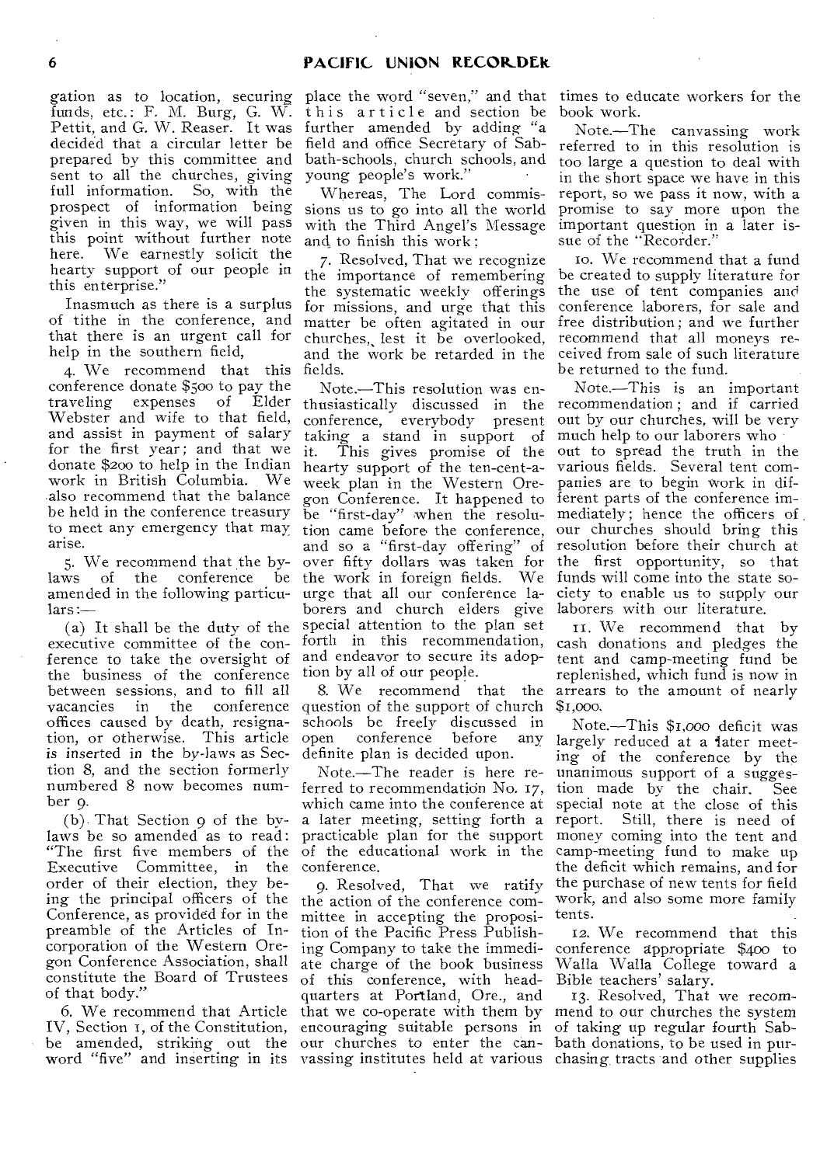funds, etc.: F. M. Burg, G. W. Pettit, and G. W. Reaser. It was further amended by adding "a decided that a circular letter be prepared by this committee and bath-schools, church schools, and sent to all the churches, giving<br>full information. So, with the full information. prospect of information being given in this way, we will pass this point without further note here. We earnestly solicit the hearty support of our people in this enterprise."

Inasmuch as there is a surplus of tithe in the conference, and that there is an urgent call for help in the southern field,

4. We recommend that this conference donate \$50o to pay the traveling expenses of Elder Webster and wife to that field, and *assist* in payment of salary for the first year; and that we donate \$200 to help in the Indian work in British Columbia. We also recommend that the balance be held in the conference treasury to meet any emergency that may tion came before the conference, our churches should bring this arise.

5. We recommend that the bylaws of the conference amended in the following particulars :—

(a) It shall be the duty of the executive committee of the conference to take the oversight of the business of the conference between sessions, and to fill all vacancies in the conference offices caused by death, resignation, or otherwise. This article is inserted in the by-laws as Section 8, and the section formerly numbered 8 now becomes number 9.

(b) That Section 9 of the bylaws be so amended as to read: "The first five members of the Executive Committee, in the order of their election, they being the principal officers of the Conference, as provided for in the preamble of the Articles of Incorporation of the Western Oregon Conference Association, shall constitute the Board of Trustees of that body."

6. We recommend that Article IV, Section 1, of the Constitution, word "five" and inserting in its vassing institutes held at various chasing tracts and other supplies

gation as to location, securing place the word "seven," and that times to educate workers for the this article and section be field and office Secretary of Sabyoung people's work."

> Whereas, The Lord commissions us to go into all the world with the Third Angel's Message and to finish this work ;

7. Resolved, That we recognize the importance of remembering the systematic weekly offerings for missions, and urge that this matter be often agitated in our churches,, lest it be overlooked, fields.

Note.—This resolution was enthusiastically discussed in the recommendation ; and if carried conference, everybody present taking a stand in support of much help to our laborers who it. This gives promise of the hearty support of the ten-cent-aweek plan in the Western Ore-panies are to begin work in difgon Conference. It happened to ferent parts of the conference imand so a "first-day offering" of over fifty dollars was taken for the work in foreign fields. We funds will come into the state sourge that all our conference laborers and church elders give special attention to the plan set forth in this recommendation, and endeavor to secure its adoption by all of our people.

question of the support of church schools be freely discussed in<br>open conference before any conference before any definite plan is decided upon.

Note.—The reader is here referred to recommendation No. 17, which came into the conference at a later meeting, setting forth a practicable plan for the support of the educational work in the conference.

be amended, striking out the our churches to enter the can- bath donations, to be used in pur-9. Resolved, That we ratify the action of the conference committee in accepting the proposition of the Pacific Press Publishing Company to take the immediate charge of the book business of this conference, with headquarters at Portland, Ore., and that we co-operate with them by encouraging suitable persons in of taking up regular fourth Sab-

book work.

Note.—The canvassing work referred to in this resolution is too large a question to deal with in the short space we have in this report, so we pass it now, with a promise to say more upon the important question in a later issue of the "Recorder."

and the work be retarded in the ceived from sale of such literature 10. We recommend that a fund be created to supply literature for the use of tent companies and conference laborers, for sale and free distribution ; and we further recommend that all moneys rebe returned to the fund.

be "first-day" when the resolu-mediately ; hence the officers of , Note.—This is an important out by our churches, will be very out to spread the truth in the various fields. Several tent comresolution before their church at the first opportunity, so that ciety to enable us to supply our laborers with our literature.

8. We recommend that the arrears to the amount of nearly it. We recommend that by cash donations and pledges the tent and camp-meeting fund be replenished, which fund is now in \$1,000.

> Note.—This \$i,000 deficit was largely reduced at a later meeting of the conference by the unanimous support of a sugges-<br>tion made by the chair. See tion made by the chair. special note at the close of this<br>report. Still, there is need of Still, there is need of money coming into the tent and camp-meeting fund to make up the deficit which remains, and for the purchase of new tents for field work, and also some more family tents.

> 12. We recommend that this conference appropriate \$400 to Walla Walla College toward a Bible teachers' salary.

13. Resolved, That we recommend to our churches the system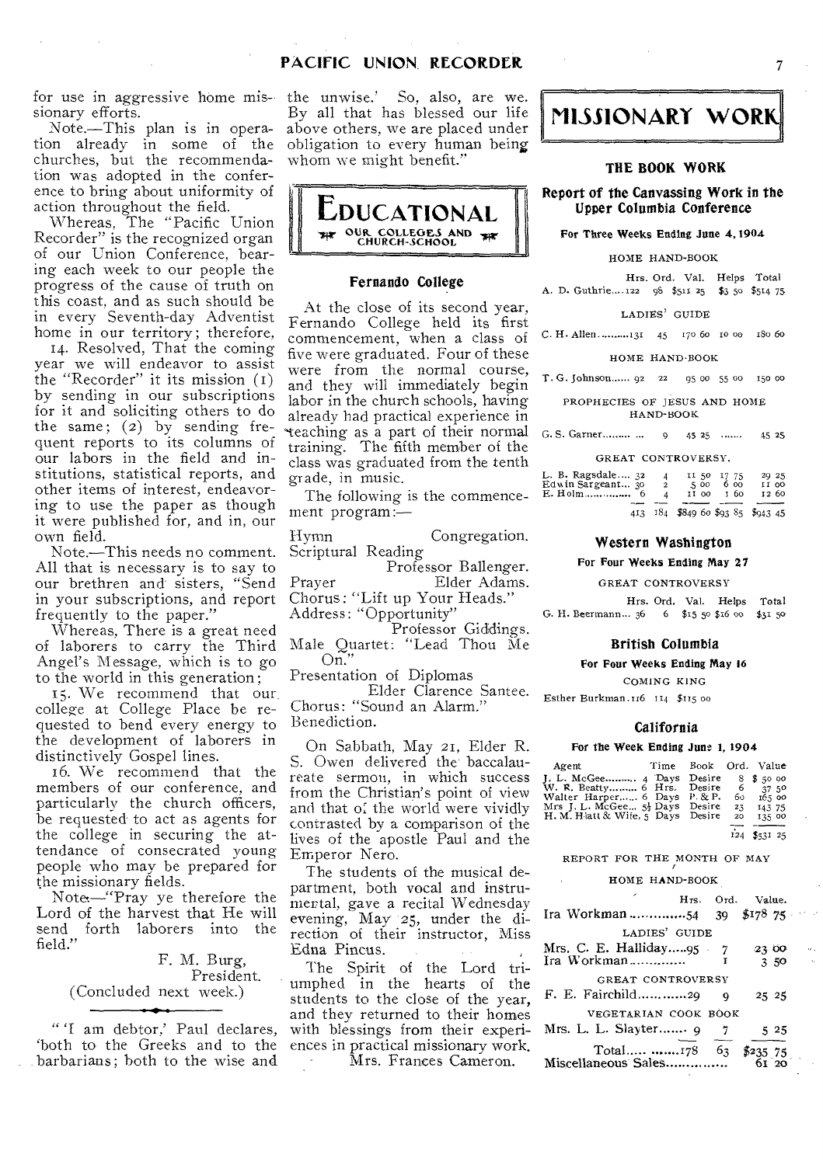for use in aggressive home missionary efforts.

Note.—This plan is in operation already in some of the churches, but the recommendation was adopted in the conference to bring about uniformity of action throughout the field.

Whereas, The "Pacific Union Recorder" is the recognized organ of our Union Conference, bearing each week to our people the progress of the cause of truth on this coast, and as such should be in every Seventh-day Adventist home in our territory; therefore,

14. Resolved, That the coming year we will endeavor to assist the "Recorder" it its mission (I) by sending in our subscriptions for it and soliciting others to do the same; (2) by sending frequent reports to its columns of our labors in the field and institutions, statistical reports, and other items of interest, endeavoring to use the paper as though it were published for, and in, our own field.

Note.—This needs no comment. All that is necessary is to say to our brethren and sisters, "Send in your subscriptions, and report frequently to the paper."

Whereas, There is a great need of laborers to carry the Third Angel's Message, which is to go to the world in this generation ;

15. We recommend that our college at College Place be requested to bend every energy to the development of laborers in distinctively Gospel lines.

16. We recommend that the members of our conference, and particularly the church officers, be requested to act as agents for the college in securing the attendance of consecrated young people who may be prepared for the missionary fields.

Note—"Pray ye therefore the Lord of the harvest that He will send forth laborers into the field."

> F. M. Burg, President. (Concluded next week.)

" 'I am debtor,' Paul declares, `both to the Greeks and to the barbarians; both to the wise and

the unwise.' So, also, are we. By all that has blessed our life above others, we are placed under obligation to every human being whom we might benefit."



## Fernando College

At the close of its second year, Fernando College held its first commencement, when a class of five were graduated. Four of these were from the normal course, and they will immediately begin labor in the church schools, having already had practical experience in 'teaching as a part of their normal training. The fifth member of the class was graduated from the tenth grade, in music.

The following is the commencement program:—

Hymn Congregation. Scriptural Reading

Professor Ballenger. Prayer Elder Adams. Chorus: "Lift up Your Heads." Address: "Opportunity"

Professor Giddings. Male Quartet: "Lead Thou Me  $\widetilde{\text{On}}$ "

Presentation of Diplomas

Elder Clarence Santee. Chorus: "Sound an Alarm." Benediction.

On Sabbath, May 21, Elder R. S. Owen delivered the baccalaureate sermon, in which success from the Christian's point of view and that of the world were vividly contrasted by a comparison of the lives of the apostle Paul and the Emperor Nero.

The students of the musical department, both vocal and instrumental, gave a recital Wednesday evening, May 25, under the direction of their instructor, Miss Edna Pincus.

The Spirit of the Lord triumphed in the hearts of the students to the close of the year, and they returned to their homes with blessings from their experiences in practical missionary work. Mrs. Frances Cameron.



## THE BOOK WORK

## Report of the Canvassing Work in the Upper Columbia Conference

#### For Three Weeks Ending June 4,1904

HOME HAND-BOOK

Hrs. Ord. Val. Helps Total A. D. Guthrie....122 98 \$511 25 \$3 50 \$514 75

LADIES' GUIDE

C. H. Allen. ......... 131 45 170 60 10 00 180 60

#### HOME HAND-BOOK

T. G. Johnson...... 92 22 95 00 55 00 15o 00

PROPHECIES OF JESUS AND HOME HAND-BOOK

G. S. Garner......... ... 9 45 25 ....... 45 25

| L. B. Ragsdale $32$ | $\boldsymbol{A}$ | 5.00                              | II 50 17 75 | 29 25 |
|---------------------|------------------|-----------------------------------|-------------|-------|
| Edwin Sargeant 30   | $\mathbf{2}$     |                                   | 6 00        | II OO |
|                     | Δ                |                                   | II 00 I 60  | 12 60 |
|                     |                  | 413 184 \$849 60 \$93 85 \$943 45 |             |       |

#### Western Washington

#### For Four Weeks Ending May 27

GREAT CONTROVERSY

Hrs. Ord. Val. Helps Total G. H. Beermann... 36 6 \$15 5o \$16 co \$31 5o

#### British Columbia

#### For Four Weeks Ending May **16**

COMING KING

Esther Burkman.116 114 \$115 00

#### California

#### For the Week Ending June 1, 1904

| Agent                             | Time | Book Ord. Value |     |                    |
|-----------------------------------|------|-----------------|-----|--------------------|
|                                   |      |                 |     | $8\frac{1}{3}5000$ |
| W. R. Beatty 6 Hrs. Desire 6      |      |                 |     | 37.50              |
| Walter Harper 6 Days P. & P.      |      |                 | 60. | 165 00             |
| Mrs J. L. McGee 5} Days           |      | Desire          | 23  | 143 75             |
| H. M. Hiatt & Wife, 5 Days Desire |      |                 | 20  | 135 00             |
|                                   |      |                 | 124 | \$53125            |

REPORT FOR THE MONTH OF MAY

#### HOME HAND-BOOK

|                                            |  |   | Hrs. Ord. Value.   |       |  |  |  |  |
|--------------------------------------------|--|---|--------------------|-------|--|--|--|--|
| Ira Workman 54 39 \$178 75                 |  |   |                    |       |  |  |  |  |
| LADIES' GUIDE                              |  |   |                    |       |  |  |  |  |
| Mrs. C. E. Halliday95 7                    |  |   |                    | 23 00 |  |  |  |  |
| Ira Workman                                |  | Г |                    | 350   |  |  |  |  |
| GREAT CONTROVERSY                          |  |   |                    |       |  |  |  |  |
| F. E. Fairchild29 9                        |  |   |                    | 25 25 |  |  |  |  |
| VEGETARIAN COOK BOOK                       |  |   |                    |       |  |  |  |  |
| Mrs. L. L. Slayter $9 \quad 7$             |  |   |                    | 525   |  |  |  |  |
| Total $\ldots \ldots \ldots \ldots 178$ 63 |  |   | $$235.75$<br>61.20 |       |  |  |  |  |
| Miscellaneous Sales                        |  |   |                    |       |  |  |  |  |